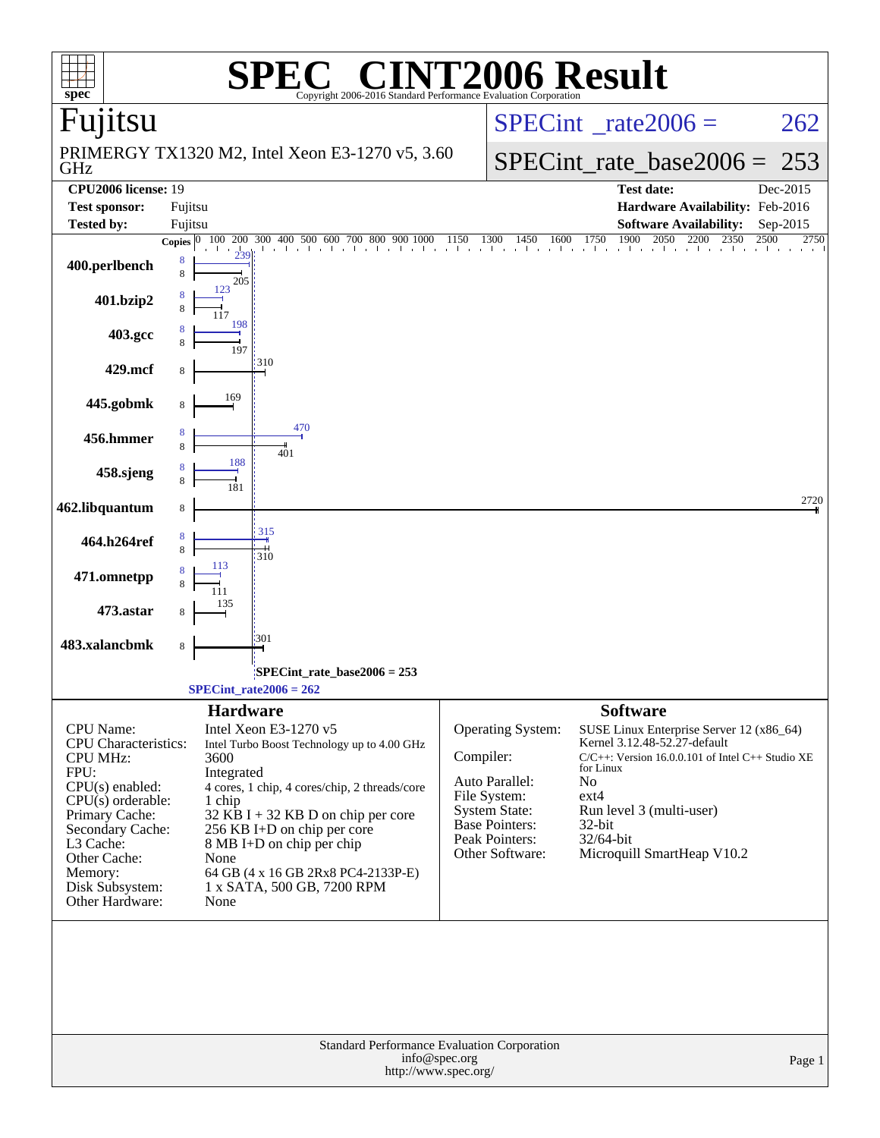|                                                                                                                                                                                                                                   | $\blacksquare$                                                                                                                                                                                                                                                                                                                                                   | <b>INT2006 Result</b>                                                                                                                                                                                                                                                                                                                                                                                                      |
|-----------------------------------------------------------------------------------------------------------------------------------------------------------------------------------------------------------------------------------|------------------------------------------------------------------------------------------------------------------------------------------------------------------------------------------------------------------------------------------------------------------------------------------------------------------------------------------------------------------|----------------------------------------------------------------------------------------------------------------------------------------------------------------------------------------------------------------------------------------------------------------------------------------------------------------------------------------------------------------------------------------------------------------------------|
| $spec^*$<br>Fujitsu                                                                                                                                                                                                               | Copyright 2006-2016 Standard Performance Evaluation Corporation                                                                                                                                                                                                                                                                                                  | $SPECint^{\circ}$ <sub>_rate2006</sub> =<br>262                                                                                                                                                                                                                                                                                                                                                                            |
| GHz                                                                                                                                                                                                                               | PRIMERGY TX1320 M2, Intel Xeon E3-1270 v5, 3.60                                                                                                                                                                                                                                                                                                                  | $SPECint_rate_base2006 =$<br>253                                                                                                                                                                                                                                                                                                                                                                                           |
| <b>CPU2006</b> license: 19                                                                                                                                                                                                        |                                                                                                                                                                                                                                                                                                                                                                  | <b>Test date:</b><br>Dec-2015                                                                                                                                                                                                                                                                                                                                                                                              |
| <b>Test sponsor:</b>                                                                                                                                                                                                              | Fujitsu                                                                                                                                                                                                                                                                                                                                                          | Hardware Availability: Feb-2016                                                                                                                                                                                                                                                                                                                                                                                            |
| <b>Tested by:</b>                                                                                                                                                                                                                 | Fujitsu                                                                                                                                                                                                                                                                                                                                                          | <b>Software Availability:</b><br>Sep-2015                                                                                                                                                                                                                                                                                                                                                                                  |
| 400.perlbench                                                                                                                                                                                                                     | <b>Copies</b><br>8<br>8<br>205                                                                                                                                                                                                                                                                                                                                   | 1750<br>100 200 300 400 500 600 700 800 900 1000 1150 1300 1450 1600 1750 1900 2050 2200 2350 2500<br>2750                                                                                                                                                                                                                                                                                                                 |
| 401.bzip2                                                                                                                                                                                                                         | 123                                                                                                                                                                                                                                                                                                                                                              |                                                                                                                                                                                                                                                                                                                                                                                                                            |
| 403.gcc                                                                                                                                                                                                                           | 198<br>197                                                                                                                                                                                                                                                                                                                                                       |                                                                                                                                                                                                                                                                                                                                                                                                                            |
| 429.mcf                                                                                                                                                                                                                           | 310<br>8                                                                                                                                                                                                                                                                                                                                                         |                                                                                                                                                                                                                                                                                                                                                                                                                            |
| 445.gobmk                                                                                                                                                                                                                         | 169<br>8                                                                                                                                                                                                                                                                                                                                                         |                                                                                                                                                                                                                                                                                                                                                                                                                            |
| 456.hmmer                                                                                                                                                                                                                         | 470<br>8<br>401                                                                                                                                                                                                                                                                                                                                                  |                                                                                                                                                                                                                                                                                                                                                                                                                            |
| 458.sjeng                                                                                                                                                                                                                         | 188                                                                                                                                                                                                                                                                                                                                                              |                                                                                                                                                                                                                                                                                                                                                                                                                            |
| 462.libquantum                                                                                                                                                                                                                    | 8                                                                                                                                                                                                                                                                                                                                                                | 2720                                                                                                                                                                                                                                                                                                                                                                                                                       |
| 464.h264ref                                                                                                                                                                                                                       | 315<br>8<br>310                                                                                                                                                                                                                                                                                                                                                  |                                                                                                                                                                                                                                                                                                                                                                                                                            |
| 471.omnetpp                                                                                                                                                                                                                       | 113                                                                                                                                                                                                                                                                                                                                                              |                                                                                                                                                                                                                                                                                                                                                                                                                            |
| 473.astar                                                                                                                                                                                                                         |                                                                                                                                                                                                                                                                                                                                                                  |                                                                                                                                                                                                                                                                                                                                                                                                                            |
| 483.xalancbmk                                                                                                                                                                                                                     | 301<br>8                                                                                                                                                                                                                                                                                                                                                         |                                                                                                                                                                                                                                                                                                                                                                                                                            |
|                                                                                                                                                                                                                                   | SPECint_rate_base2006 = 253:                                                                                                                                                                                                                                                                                                                                     |                                                                                                                                                                                                                                                                                                                                                                                                                            |
|                                                                                                                                                                                                                                   | $SPECint_rate2006 = 262$                                                                                                                                                                                                                                                                                                                                         |                                                                                                                                                                                                                                                                                                                                                                                                                            |
| CPU Name:<br><b>CPU</b> Characteristics:<br><b>CPU MHz:</b><br>FPU:<br>CPU(s) enabled:<br>$CPU(s)$ orderable:<br>Primary Cache:<br>Secondary Cache:<br>L3 Cache:<br>Other Cache:<br>Memory:<br>Disk Subsystem:<br>Other Hardware: | <b>Hardware</b><br>Intel Xeon E3-1270 v5<br>Intel Turbo Boost Technology up to 4.00 GHz<br>3600<br>Integrated<br>4 cores, 1 chip, 4 cores/chip, 2 threads/core<br>1 chip<br>$32$ KB I + 32 KB D on chip per core<br>256 KB I+D on chip per core<br>8 MB I+D on chip per chip<br>None<br>64 GB (4 x 16 GB 2Rx8 PC4-2133P-E)<br>1 x SATA, 500 GB, 7200 RPM<br>None | <b>Software</b><br>Operating System:<br>SUSE Linux Enterprise Server 12 (x86_64)<br>Kernel 3.12.48-52.27-default<br>Compiler:<br>$C/C++$ : Version 16.0.0.101 of Intel $C++$ Studio XE<br>for Linux<br>Auto Parallel:<br>No<br>File System:<br>$ext{4}$<br><b>System State:</b><br>Run level 3 (multi-user)<br>Base Pointers:<br>$32$ -bit<br>Peak Pointers:<br>32/64-bit<br>Microquill SmartHeap V10.2<br>Other Software: |
|                                                                                                                                                                                                                                   | Standard Performance Evaluation Corporation<br>info@spec.org<br>http://www.spec.org/                                                                                                                                                                                                                                                                             | Page 1                                                                                                                                                                                                                                                                                                                                                                                                                     |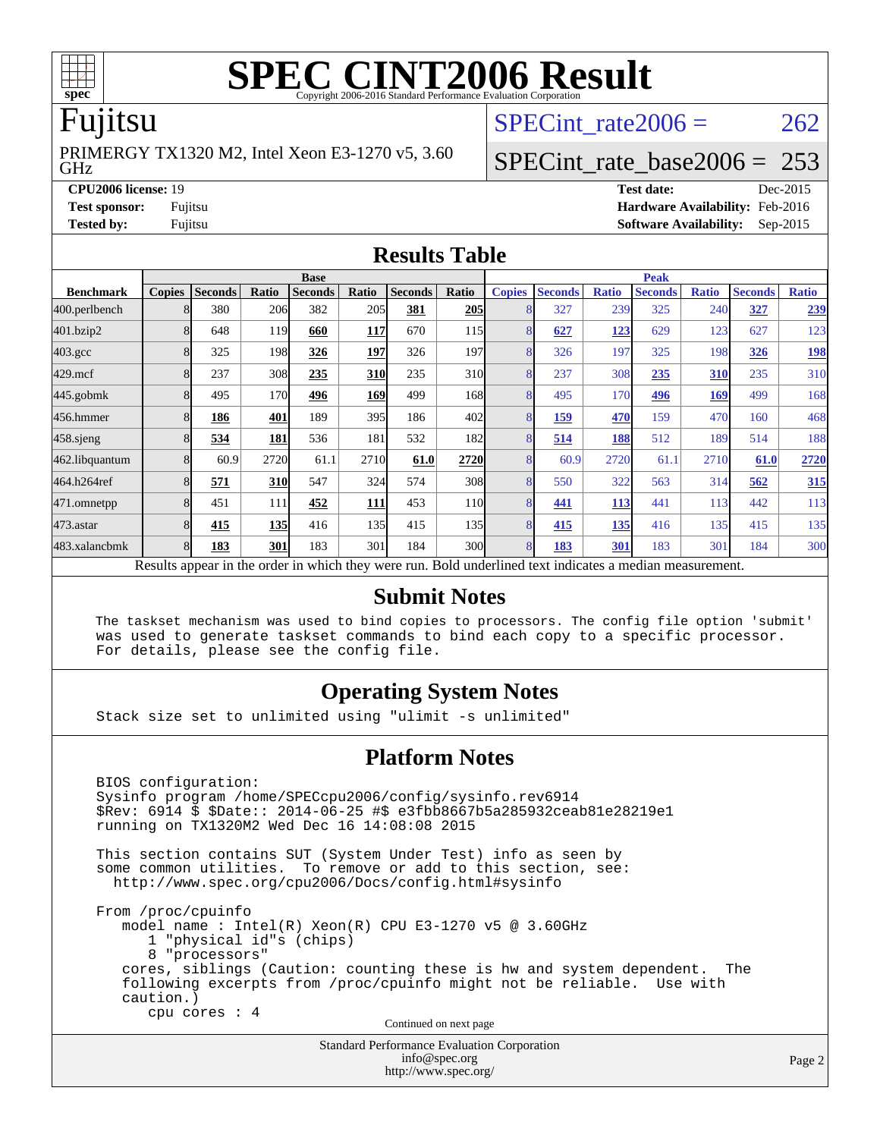

# **[SPEC CINT2006 Result](http://www.spec.org/auto/cpu2006/Docs/result-fields.html#SPECCINT2006Result)**

### Fujitsu

GHz PRIMERGY TX1320 M2, Intel Xeon E3-1270 v5, 3.60 SPECint rate  $2006 = 262$ 

### [SPECint\\_rate\\_base2006 =](http://www.spec.org/auto/cpu2006/Docs/result-fields.html#SPECintratebase2006) 253

**[CPU2006 license:](http://www.spec.org/auto/cpu2006/Docs/result-fields.html#CPU2006license)** 19 **[Test date:](http://www.spec.org/auto/cpu2006/Docs/result-fields.html#Testdate)** Dec-2015 **[Test sponsor:](http://www.spec.org/auto/cpu2006/Docs/result-fields.html#Testsponsor)** Fujitsu **[Hardware Availability:](http://www.spec.org/auto/cpu2006/Docs/result-fields.html#HardwareAvailability)** Feb-2016 **[Tested by:](http://www.spec.org/auto/cpu2006/Docs/result-fields.html#Testedby)** Fujitsu **[Software Availability:](http://www.spec.org/auto/cpu2006/Docs/result-fields.html#SoftwareAvailability)** Sep-2015

### **[Results Table](http://www.spec.org/auto/cpu2006/Docs/result-fields.html#ResultsTable)**

|                                                                                                          | <b>Base</b>   |                |            |                |             | <b>Peak</b>    |                 |               |                |              |                |              |                |              |
|----------------------------------------------------------------------------------------------------------|---------------|----------------|------------|----------------|-------------|----------------|-----------------|---------------|----------------|--------------|----------------|--------------|----------------|--------------|
| <b>Benchmark</b>                                                                                         | <b>Copies</b> | <b>Seconds</b> | Ratio      | <b>Seconds</b> | Ratio       | <b>Seconds</b> | Ratio           | <b>Copies</b> | <b>Seconds</b> | <b>Ratio</b> | <b>Seconds</b> | <b>Ratio</b> | <b>Seconds</b> | <b>Ratio</b> |
| 400.perlbench                                                                                            |               | 380            | 206        | 382            | 205         | 381            | 205             | 8             | 327            | 239          | 325            | 240          | 327            | 239          |
| 401.bzip2                                                                                                |               | 648            | 119        | 660            | <u>117</u>  | 670            | 115             | 8             | 627            | 123          | 629            | 123          | 627            | 123          |
| $403.\mathrm{gcc}$                                                                                       |               | 325            | 198        | 326            | 197         | 326            | 197             | 8             | 326            | 197          | 325            | 198          | 326            | <u>198</u>   |
| $429$ .mcf                                                                                               |               | 237            | 308        | 235            | <b>310</b>  | 235            | 310             | 8             | 237            | 308          | 235            | 310          | 235            | 310          |
| 445.gobmk                                                                                                |               | 495            | 170        | 496            | <u>169</u>  | 499            | 168             | 8             | 495            | 170          | 496            | 169          | 499            | 168          |
| 456.hmmer                                                                                                |               | 186            | 401        | 189            | 395         | 186            | 402l            | 8             | 159            | 470          | 159            | 470          | 160            | 468          |
| $458$ .sjeng                                                                                             |               | 534            | 181        | 536            | 181         | 532            | 182l            | 8             | 514            | 188          | 512            | 189          | 514            | 188          |
| 462.libquantum                                                                                           |               | 60.9           | 2720       | 61.1           | 2710        | 61.0           | 2720            | 8             | 60.9           | 2720         | 61.1           | 2710         | 61.0           | 2720         |
| 464.h264ref                                                                                              |               | 571            | <b>310</b> | 547            | 324         | 574            | 308             | 8             | 550            | 322          | 563            | 314          | 562            | 315          |
| 471.omnetpp                                                                                              |               | 451            | 111        | 452            | <u> 111</u> | 453            | 11 <sub>0</sub> | 8             | 441            | 113          | 441            | 113          | 442            | 113          |
| 473.astar                                                                                                |               | 415            | 135        | 416            | 135I        | 415            | 135             | 8             | 415            | 135          | 416            | 135          | 415            | 135          |
| 483.xalancbmk                                                                                            |               | 183            | 301        | 183            | 301         | 184            | 300l            | 8             | 183            | 301          | 183            | 301          | 184            | 300          |
| Results appear in the order in which they were run. Bold underlined text indicates a median measurement. |               |                |            |                |             |                |                 |               |                |              |                |              |                |              |

### **[Submit Notes](http://www.spec.org/auto/cpu2006/Docs/result-fields.html#SubmitNotes)**

 The taskset mechanism was used to bind copies to processors. The config file option 'submit' was used to generate taskset commands to bind each copy to a specific processor. For details, please see the config file.

### **[Operating System Notes](http://www.spec.org/auto/cpu2006/Docs/result-fields.html#OperatingSystemNotes)**

Stack size set to unlimited using "ulimit -s unlimited"

### **[Platform Notes](http://www.spec.org/auto/cpu2006/Docs/result-fields.html#PlatformNotes)**

Standard Performance Evaluation Corporation BIOS configuration: Sysinfo program /home/SPECcpu2006/config/sysinfo.rev6914 \$Rev: 6914 \$ \$Date:: 2014-06-25 #\$ e3fbb8667b5a285932ceab81e28219e1 running on TX1320M2 Wed Dec 16 14:08:08 2015 This section contains SUT (System Under Test) info as seen by some common utilities. To remove or add to this section, see: <http://www.spec.org/cpu2006/Docs/config.html#sysinfo> From /proc/cpuinfo model name : Intel(R) Xeon(R) CPU E3-1270 v5 @ 3.60GHz 1 "physical id"s (chips) 8 "processors" cores, siblings (Caution: counting these is hw and system dependent. The following excerpts from /proc/cpuinfo might not be reliable. Use with caution.) cpu cores : 4 Continued on next page

[info@spec.org](mailto:info@spec.org) <http://www.spec.org/>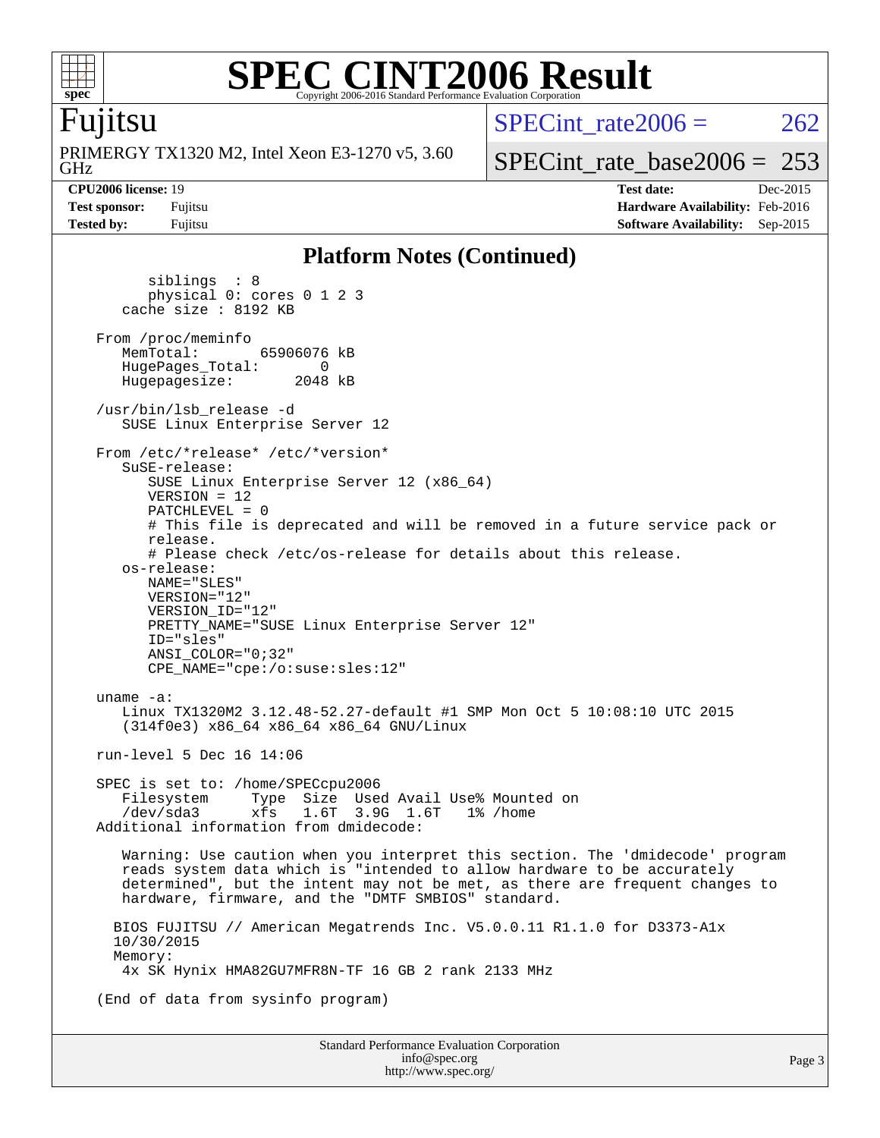

### **[SPEC CINT2006 Result](http://www.spec.org/auto/cpu2006/Docs/result-fields.html#SPECCINT2006Result)** Copyright 2006-2016 Standard Performance Evaluation Corporation

### Fujitsu

GHz PRIMERGY TX1320 M2, Intel Xeon E3-1270 v5, 3.60 SPECint rate $2006 = 262$ 

[SPECint\\_rate\\_base2006 =](http://www.spec.org/auto/cpu2006/Docs/result-fields.html#SPECintratebase2006)  $253$ 

**[CPU2006 license:](http://www.spec.org/auto/cpu2006/Docs/result-fields.html#CPU2006license)** 19 **[Test date:](http://www.spec.org/auto/cpu2006/Docs/result-fields.html#Testdate)** Dec-2015 **[Test sponsor:](http://www.spec.org/auto/cpu2006/Docs/result-fields.html#Testsponsor)** Fujitsu **[Hardware Availability:](http://www.spec.org/auto/cpu2006/Docs/result-fields.html#HardwareAvailability)** Feb-2016 **[Tested by:](http://www.spec.org/auto/cpu2006/Docs/result-fields.html#Testedby)** Fujitsu **[Software Availability:](http://www.spec.org/auto/cpu2006/Docs/result-fields.html#SoftwareAvailability)** Sep-2015

### **[Platform Notes \(Continued\)](http://www.spec.org/auto/cpu2006/Docs/result-fields.html#PlatformNotes)**

 siblings : 8 physical 0: cores 0 1 2 3 cache size : 8192 KB From /proc/meminfo<br>MemTotal: 65906076 kB HugePages\_Total: 0<br>Hugepagesize: 2048 kB Hugepagesize: /usr/bin/lsb\_release -d SUSE Linux Enterprise Server 12 From /etc/\*release\* /etc/\*version\* SuSE-release: SUSE Linux Enterprise Server 12 (x86\_64) VERSION = 12 PATCHLEVEL = 0 # This file is deprecated and will be removed in a future service pack or release. # Please check /etc/os-release for details about this release. os-release: NAME="SLES" VERSION="12" VERSION\_ID="12" PRETTY NAME="SUSE Linux Enterprise Server 12" ID="sles" ANSI\_COLOR="0;32" CPE\_NAME="cpe:/o:suse:sles:12" uname -a: Linux TX1320M2 3.12.48-52.27-default #1 SMP Mon Oct 5 10:08:10 UTC 2015 (314f0e3) x86\_64 x86\_64 x86\_64 GNU/Linux run-level 5 Dec 16 14:06 SPEC is set to: /home/SPECcpu2006 Filesystem Type Size Used Avail Use% Mounted on<br>/dev/sda3 xfs 1.6T 3.9G 1.6T 1% /home 3.9G 1.6T Additional information from dmidecode: Warning: Use caution when you interpret this section. The 'dmidecode' program reads system data which is "intended to allow hardware to be accurately determined", but the intent may not be met, as there are frequent changes to hardware, firmware, and the "DMTF SMBIOS" standard. BIOS FUJITSU // American Megatrends Inc. V5.0.0.11 R1.1.0 for D3373-A1x 10/30/2015 Memory: 4x SK Hynix HMA82GU7MFR8N-TF 16 GB 2 rank 2133 MHz (End of data from sysinfo program)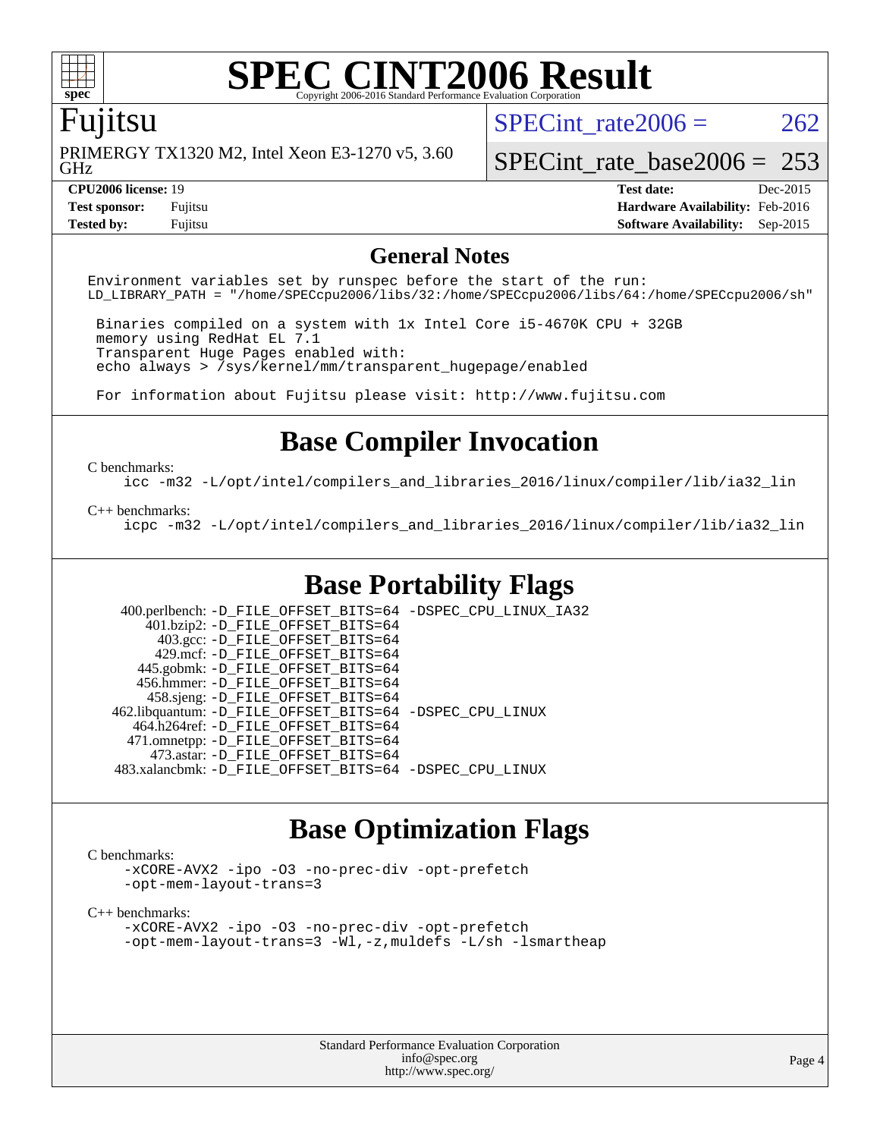

## **[SPEC CINT2006 Result](http://www.spec.org/auto/cpu2006/Docs/result-fields.html#SPECCINT2006Result)**

### Fujitsu

GHz PRIMERGY TX1320 M2, Intel Xeon E3-1270 v5, 3.60 SPECint rate $2006 = 262$ 

[SPECint\\_rate\\_base2006 =](http://www.spec.org/auto/cpu2006/Docs/result-fields.html#SPECintratebase2006) 253

**[CPU2006 license:](http://www.spec.org/auto/cpu2006/Docs/result-fields.html#CPU2006license)** 19 **[Test date:](http://www.spec.org/auto/cpu2006/Docs/result-fields.html#Testdate)** Dec-2015 **[Test sponsor:](http://www.spec.org/auto/cpu2006/Docs/result-fields.html#Testsponsor)** Fujitsu **[Hardware Availability:](http://www.spec.org/auto/cpu2006/Docs/result-fields.html#HardwareAvailability)** Feb-2016 **[Tested by:](http://www.spec.org/auto/cpu2006/Docs/result-fields.html#Testedby)** Fujitsu **[Software Availability:](http://www.spec.org/auto/cpu2006/Docs/result-fields.html#SoftwareAvailability)** Sep-2015

### **[General Notes](http://www.spec.org/auto/cpu2006/Docs/result-fields.html#GeneralNotes)**

Environment variables set by runspec before the start of the run: LD\_LIBRARY\_PATH = "/home/SPECcpu2006/libs/32:/home/SPECcpu2006/libs/64:/home/SPECcpu2006/sh"

 Binaries compiled on a system with 1x Intel Core i5-4670K CPU + 32GB memory using RedHat EL 7.1 Transparent Huge Pages enabled with: echo always > /sys/kernel/mm/transparent\_hugepage/enabled

For information about Fujitsu please visit: <http://www.fujitsu.com>

### **[Base Compiler Invocation](http://www.spec.org/auto/cpu2006/Docs/result-fields.html#BaseCompilerInvocation)**

[C benchmarks](http://www.spec.org/auto/cpu2006/Docs/result-fields.html#Cbenchmarks):

[icc -m32 -L/opt/intel/compilers\\_and\\_libraries\\_2016/linux/compiler/lib/ia32\\_lin](http://www.spec.org/cpu2006/results/res2016q1/cpu2006-20160111-38694.flags.html#user_CCbase_intel_icc_e10256ba5924b668798078a321b0cb3f)

### [C++ benchmarks:](http://www.spec.org/auto/cpu2006/Docs/result-fields.html#CXXbenchmarks)

[icpc -m32 -L/opt/intel/compilers\\_and\\_libraries\\_2016/linux/compiler/lib/ia32\\_lin](http://www.spec.org/cpu2006/results/res2016q1/cpu2006-20160111-38694.flags.html#user_CXXbase_intel_icpc_b4f50a394bdb4597aa5879c16bc3f5c5)

### **[Base Portability Flags](http://www.spec.org/auto/cpu2006/Docs/result-fields.html#BasePortabilityFlags)**

 400.perlbench: [-D\\_FILE\\_OFFSET\\_BITS=64](http://www.spec.org/cpu2006/results/res2016q1/cpu2006-20160111-38694.flags.html#user_basePORTABILITY400_perlbench_file_offset_bits_64_438cf9856305ebd76870a2c6dc2689ab) [-DSPEC\\_CPU\\_LINUX\\_IA32](http://www.spec.org/cpu2006/results/res2016q1/cpu2006-20160111-38694.flags.html#b400.perlbench_baseCPORTABILITY_DSPEC_CPU_LINUX_IA32) 401.bzip2: [-D\\_FILE\\_OFFSET\\_BITS=64](http://www.spec.org/cpu2006/results/res2016q1/cpu2006-20160111-38694.flags.html#user_basePORTABILITY401_bzip2_file_offset_bits_64_438cf9856305ebd76870a2c6dc2689ab) 403.gcc: [-D\\_FILE\\_OFFSET\\_BITS=64](http://www.spec.org/cpu2006/results/res2016q1/cpu2006-20160111-38694.flags.html#user_basePORTABILITY403_gcc_file_offset_bits_64_438cf9856305ebd76870a2c6dc2689ab) 429.mcf: [-D\\_FILE\\_OFFSET\\_BITS=64](http://www.spec.org/cpu2006/results/res2016q1/cpu2006-20160111-38694.flags.html#user_basePORTABILITY429_mcf_file_offset_bits_64_438cf9856305ebd76870a2c6dc2689ab) 445.gobmk: [-D\\_FILE\\_OFFSET\\_BITS=64](http://www.spec.org/cpu2006/results/res2016q1/cpu2006-20160111-38694.flags.html#user_basePORTABILITY445_gobmk_file_offset_bits_64_438cf9856305ebd76870a2c6dc2689ab) 456.hmmer: [-D\\_FILE\\_OFFSET\\_BITS=64](http://www.spec.org/cpu2006/results/res2016q1/cpu2006-20160111-38694.flags.html#user_basePORTABILITY456_hmmer_file_offset_bits_64_438cf9856305ebd76870a2c6dc2689ab) 458.sjeng: [-D\\_FILE\\_OFFSET\\_BITS=64](http://www.spec.org/cpu2006/results/res2016q1/cpu2006-20160111-38694.flags.html#user_basePORTABILITY458_sjeng_file_offset_bits_64_438cf9856305ebd76870a2c6dc2689ab) 462.libquantum: [-D\\_FILE\\_OFFSET\\_BITS=64](http://www.spec.org/cpu2006/results/res2016q1/cpu2006-20160111-38694.flags.html#user_basePORTABILITY462_libquantum_file_offset_bits_64_438cf9856305ebd76870a2c6dc2689ab) [-DSPEC\\_CPU\\_LINUX](http://www.spec.org/cpu2006/results/res2016q1/cpu2006-20160111-38694.flags.html#b462.libquantum_baseCPORTABILITY_DSPEC_CPU_LINUX) 464.h264ref: [-D\\_FILE\\_OFFSET\\_BITS=64](http://www.spec.org/cpu2006/results/res2016q1/cpu2006-20160111-38694.flags.html#user_basePORTABILITY464_h264ref_file_offset_bits_64_438cf9856305ebd76870a2c6dc2689ab) 471.omnetpp: [-D\\_FILE\\_OFFSET\\_BITS=64](http://www.spec.org/cpu2006/results/res2016q1/cpu2006-20160111-38694.flags.html#user_basePORTABILITY471_omnetpp_file_offset_bits_64_438cf9856305ebd76870a2c6dc2689ab) 473.astar: [-D\\_FILE\\_OFFSET\\_BITS=64](http://www.spec.org/cpu2006/results/res2016q1/cpu2006-20160111-38694.flags.html#user_basePORTABILITY473_astar_file_offset_bits_64_438cf9856305ebd76870a2c6dc2689ab) 483.xalancbmk: [-D\\_FILE\\_OFFSET\\_BITS=64](http://www.spec.org/cpu2006/results/res2016q1/cpu2006-20160111-38694.flags.html#user_basePORTABILITY483_xalancbmk_file_offset_bits_64_438cf9856305ebd76870a2c6dc2689ab) [-DSPEC\\_CPU\\_LINUX](http://www.spec.org/cpu2006/results/res2016q1/cpu2006-20160111-38694.flags.html#b483.xalancbmk_baseCXXPORTABILITY_DSPEC_CPU_LINUX)

### **[Base Optimization Flags](http://www.spec.org/auto/cpu2006/Docs/result-fields.html#BaseOptimizationFlags)**

### [C benchmarks](http://www.spec.org/auto/cpu2006/Docs/result-fields.html#Cbenchmarks):

[-xCORE-AVX2](http://www.spec.org/cpu2006/results/res2016q1/cpu2006-20160111-38694.flags.html#user_CCbase_f-xAVX2_5f5fc0cbe2c9f62c816d3e45806c70d7) [-ipo](http://www.spec.org/cpu2006/results/res2016q1/cpu2006-20160111-38694.flags.html#user_CCbase_f-ipo) [-O3](http://www.spec.org/cpu2006/results/res2016q1/cpu2006-20160111-38694.flags.html#user_CCbase_f-O3) [-no-prec-div](http://www.spec.org/cpu2006/results/res2016q1/cpu2006-20160111-38694.flags.html#user_CCbase_f-no-prec-div) [-opt-prefetch](http://www.spec.org/cpu2006/results/res2016q1/cpu2006-20160111-38694.flags.html#user_CCbase_f-opt-prefetch) [-opt-mem-layout-trans=3](http://www.spec.org/cpu2006/results/res2016q1/cpu2006-20160111-38694.flags.html#user_CCbase_f-opt-mem-layout-trans_a7b82ad4bd7abf52556d4961a2ae94d5)

#### [C++ benchmarks:](http://www.spec.org/auto/cpu2006/Docs/result-fields.html#CXXbenchmarks)

[-xCORE-AVX2](http://www.spec.org/cpu2006/results/res2016q1/cpu2006-20160111-38694.flags.html#user_CXXbase_f-xAVX2_5f5fc0cbe2c9f62c816d3e45806c70d7) [-ipo](http://www.spec.org/cpu2006/results/res2016q1/cpu2006-20160111-38694.flags.html#user_CXXbase_f-ipo) [-O3](http://www.spec.org/cpu2006/results/res2016q1/cpu2006-20160111-38694.flags.html#user_CXXbase_f-O3) [-no-prec-div](http://www.spec.org/cpu2006/results/res2016q1/cpu2006-20160111-38694.flags.html#user_CXXbase_f-no-prec-div) [-opt-prefetch](http://www.spec.org/cpu2006/results/res2016q1/cpu2006-20160111-38694.flags.html#user_CXXbase_f-opt-prefetch) [-opt-mem-layout-trans=3](http://www.spec.org/cpu2006/results/res2016q1/cpu2006-20160111-38694.flags.html#user_CXXbase_f-opt-mem-layout-trans_a7b82ad4bd7abf52556d4961a2ae94d5) [-Wl,-z,muldefs](http://www.spec.org/cpu2006/results/res2016q1/cpu2006-20160111-38694.flags.html#user_CXXbase_link_force_multiple1_74079c344b956b9658436fd1b6dd3a8a) [-L/sh -lsmartheap](http://www.spec.org/cpu2006/results/res2016q1/cpu2006-20160111-38694.flags.html#user_CXXbase_SmartHeap_32f6c82aa1ed9c52345d30cf6e4a0499)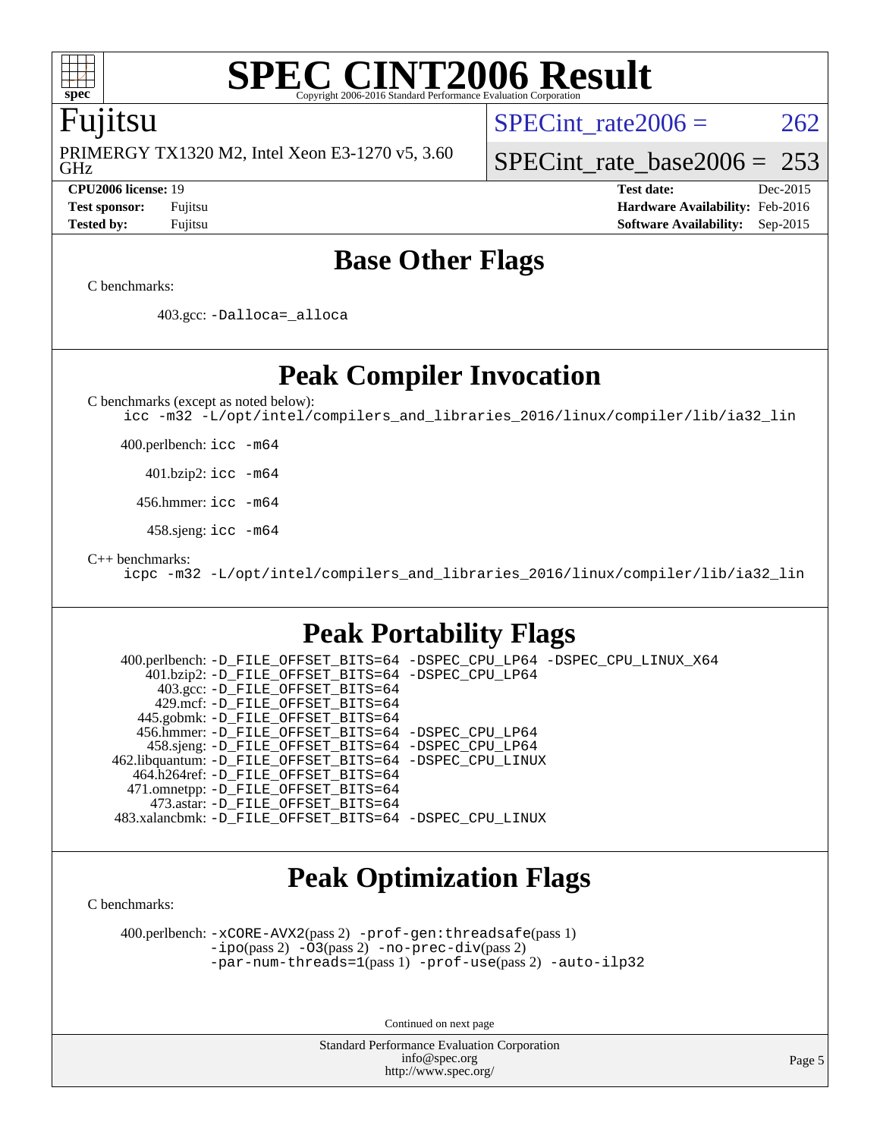

### **[SPEC CINT2006 Result](http://www.spec.org/auto/cpu2006/Docs/result-fields.html#SPECCINT2006Result)** Copyright 2006-2016 Standard Performance Evaluation

### Fujitsu

GHz PRIMERGY TX1320 M2, Intel Xeon E3-1270 v5, 3.60 SPECint rate $2006 = 262$ 

[SPECint\\_rate\\_base2006 =](http://www.spec.org/auto/cpu2006/Docs/result-fields.html#SPECintratebase2006)  $253$ 

**[CPU2006 license:](http://www.spec.org/auto/cpu2006/Docs/result-fields.html#CPU2006license)** 19 **[Test date:](http://www.spec.org/auto/cpu2006/Docs/result-fields.html#Testdate)** Dec-2015 **[Test sponsor:](http://www.spec.org/auto/cpu2006/Docs/result-fields.html#Testsponsor)** Fujitsu **[Hardware Availability:](http://www.spec.org/auto/cpu2006/Docs/result-fields.html#HardwareAvailability)** Feb-2016 **[Tested by:](http://www.spec.org/auto/cpu2006/Docs/result-fields.html#Testedby)** Fujitsu **[Software Availability:](http://www.spec.org/auto/cpu2006/Docs/result-fields.html#SoftwareAvailability)** Sep-2015

### **[Base Other Flags](http://www.spec.org/auto/cpu2006/Docs/result-fields.html#BaseOtherFlags)**

[C benchmarks](http://www.spec.org/auto/cpu2006/Docs/result-fields.html#Cbenchmarks):

403.gcc: [-Dalloca=\\_alloca](http://www.spec.org/cpu2006/results/res2016q1/cpu2006-20160111-38694.flags.html#b403.gcc_baseEXTRA_CFLAGS_Dalloca_be3056838c12de2578596ca5467af7f3)

**[Peak Compiler Invocation](http://www.spec.org/auto/cpu2006/Docs/result-fields.html#PeakCompilerInvocation)**

[C benchmarks \(except as noted below\)](http://www.spec.org/auto/cpu2006/Docs/result-fields.html#Cbenchmarksexceptasnotedbelow):

[icc -m32 -L/opt/intel/compilers\\_and\\_libraries\\_2016/linux/compiler/lib/ia32\\_lin](http://www.spec.org/cpu2006/results/res2016q1/cpu2006-20160111-38694.flags.html#user_CCpeak_intel_icc_e10256ba5924b668798078a321b0cb3f)

400.perlbench: [icc -m64](http://www.spec.org/cpu2006/results/res2016q1/cpu2006-20160111-38694.flags.html#user_peakCCLD400_perlbench_intel_icc_64bit_bda6cc9af1fdbb0edc3795bac97ada53)

401.bzip2: [icc -m64](http://www.spec.org/cpu2006/results/res2016q1/cpu2006-20160111-38694.flags.html#user_peakCCLD401_bzip2_intel_icc_64bit_bda6cc9af1fdbb0edc3795bac97ada53)

456.hmmer: [icc -m64](http://www.spec.org/cpu2006/results/res2016q1/cpu2006-20160111-38694.flags.html#user_peakCCLD456_hmmer_intel_icc_64bit_bda6cc9af1fdbb0edc3795bac97ada53)

458.sjeng: [icc -m64](http://www.spec.org/cpu2006/results/res2016q1/cpu2006-20160111-38694.flags.html#user_peakCCLD458_sjeng_intel_icc_64bit_bda6cc9af1fdbb0edc3795bac97ada53)

[C++ benchmarks:](http://www.spec.org/auto/cpu2006/Docs/result-fields.html#CXXbenchmarks)

[icpc -m32 -L/opt/intel/compilers\\_and\\_libraries\\_2016/linux/compiler/lib/ia32\\_lin](http://www.spec.org/cpu2006/results/res2016q1/cpu2006-20160111-38694.flags.html#user_CXXpeak_intel_icpc_b4f50a394bdb4597aa5879c16bc3f5c5)

### **[Peak Portability Flags](http://www.spec.org/auto/cpu2006/Docs/result-fields.html#PeakPortabilityFlags)**

 400.perlbench: [-D\\_FILE\\_OFFSET\\_BITS=64](http://www.spec.org/cpu2006/results/res2016q1/cpu2006-20160111-38694.flags.html#user_peakPORTABILITY400_perlbench_file_offset_bits_64_438cf9856305ebd76870a2c6dc2689ab) [-DSPEC\\_CPU\\_LP64](http://www.spec.org/cpu2006/results/res2016q1/cpu2006-20160111-38694.flags.html#b400.perlbench_peakCPORTABILITY_DSPEC_CPU_LP64) [-DSPEC\\_CPU\\_LINUX\\_X64](http://www.spec.org/cpu2006/results/res2016q1/cpu2006-20160111-38694.flags.html#b400.perlbench_peakCPORTABILITY_DSPEC_CPU_LINUX_X64) 401.bzip2: [-D\\_FILE\\_OFFSET\\_BITS=64](http://www.spec.org/cpu2006/results/res2016q1/cpu2006-20160111-38694.flags.html#user_peakPORTABILITY401_bzip2_file_offset_bits_64_438cf9856305ebd76870a2c6dc2689ab) [-DSPEC\\_CPU\\_LP64](http://www.spec.org/cpu2006/results/res2016q1/cpu2006-20160111-38694.flags.html#suite_peakCPORTABILITY401_bzip2_DSPEC_CPU_LP64) 403.gcc: [-D\\_FILE\\_OFFSET\\_BITS=64](http://www.spec.org/cpu2006/results/res2016q1/cpu2006-20160111-38694.flags.html#user_peakPORTABILITY403_gcc_file_offset_bits_64_438cf9856305ebd76870a2c6dc2689ab) 429.mcf: [-D\\_FILE\\_OFFSET\\_BITS=64](http://www.spec.org/cpu2006/results/res2016q1/cpu2006-20160111-38694.flags.html#user_peakPORTABILITY429_mcf_file_offset_bits_64_438cf9856305ebd76870a2c6dc2689ab) 445.gobmk: [-D\\_FILE\\_OFFSET\\_BITS=64](http://www.spec.org/cpu2006/results/res2016q1/cpu2006-20160111-38694.flags.html#user_peakPORTABILITY445_gobmk_file_offset_bits_64_438cf9856305ebd76870a2c6dc2689ab) 456.hmmer: [-D\\_FILE\\_OFFSET\\_BITS=64](http://www.spec.org/cpu2006/results/res2016q1/cpu2006-20160111-38694.flags.html#user_peakPORTABILITY456_hmmer_file_offset_bits_64_438cf9856305ebd76870a2c6dc2689ab) [-DSPEC\\_CPU\\_LP64](http://www.spec.org/cpu2006/results/res2016q1/cpu2006-20160111-38694.flags.html#suite_peakCPORTABILITY456_hmmer_DSPEC_CPU_LP64) 458.sjeng: [-D\\_FILE\\_OFFSET\\_BITS=64](http://www.spec.org/cpu2006/results/res2016q1/cpu2006-20160111-38694.flags.html#user_peakPORTABILITY458_sjeng_file_offset_bits_64_438cf9856305ebd76870a2c6dc2689ab) [-DSPEC\\_CPU\\_LP64](http://www.spec.org/cpu2006/results/res2016q1/cpu2006-20160111-38694.flags.html#suite_peakCPORTABILITY458_sjeng_DSPEC_CPU_LP64) 462.libquantum: [-D\\_FILE\\_OFFSET\\_BITS=64](http://www.spec.org/cpu2006/results/res2016q1/cpu2006-20160111-38694.flags.html#user_peakPORTABILITY462_libquantum_file_offset_bits_64_438cf9856305ebd76870a2c6dc2689ab) [-DSPEC\\_CPU\\_LINUX](http://www.spec.org/cpu2006/results/res2016q1/cpu2006-20160111-38694.flags.html#b462.libquantum_peakCPORTABILITY_DSPEC_CPU_LINUX) 464.h264ref: [-D\\_FILE\\_OFFSET\\_BITS=64](http://www.spec.org/cpu2006/results/res2016q1/cpu2006-20160111-38694.flags.html#user_peakPORTABILITY464_h264ref_file_offset_bits_64_438cf9856305ebd76870a2c6dc2689ab) 471.omnetpp: [-D\\_FILE\\_OFFSET\\_BITS=64](http://www.spec.org/cpu2006/results/res2016q1/cpu2006-20160111-38694.flags.html#user_peakPORTABILITY471_omnetpp_file_offset_bits_64_438cf9856305ebd76870a2c6dc2689ab) 473.astar: [-D\\_FILE\\_OFFSET\\_BITS=64](http://www.spec.org/cpu2006/results/res2016q1/cpu2006-20160111-38694.flags.html#user_peakPORTABILITY473_astar_file_offset_bits_64_438cf9856305ebd76870a2c6dc2689ab) 483.xalancbmk: [-D\\_FILE\\_OFFSET\\_BITS=64](http://www.spec.org/cpu2006/results/res2016q1/cpu2006-20160111-38694.flags.html#user_peakPORTABILITY483_xalancbmk_file_offset_bits_64_438cf9856305ebd76870a2c6dc2689ab) [-DSPEC\\_CPU\\_LINUX](http://www.spec.org/cpu2006/results/res2016q1/cpu2006-20160111-38694.flags.html#b483.xalancbmk_peakCXXPORTABILITY_DSPEC_CPU_LINUX)

### **[Peak Optimization Flags](http://www.spec.org/auto/cpu2006/Docs/result-fields.html#PeakOptimizationFlags)**

[C benchmarks](http://www.spec.org/auto/cpu2006/Docs/result-fields.html#Cbenchmarks):

 400.perlbench: [-xCORE-AVX2](http://www.spec.org/cpu2006/results/res2016q1/cpu2006-20160111-38694.flags.html#user_peakPASS2_CFLAGSPASS2_LDCFLAGS400_perlbench_f-xAVX2_5f5fc0cbe2c9f62c816d3e45806c70d7)(pass 2) [-prof-gen:threadsafe](http://www.spec.org/cpu2006/results/res2016q1/cpu2006-20160111-38694.flags.html#user_peakPASS1_CFLAGSPASS1_LDCFLAGS400_perlbench_prof_gen_21a26eb79f378b550acd7bec9fe4467a)(pass 1) [-ipo](http://www.spec.org/cpu2006/results/res2016q1/cpu2006-20160111-38694.flags.html#user_peakPASS2_CFLAGSPASS2_LDCFLAGS400_perlbench_f-ipo)(pass 2) [-O3](http://www.spec.org/cpu2006/results/res2016q1/cpu2006-20160111-38694.flags.html#user_peakPASS2_CFLAGSPASS2_LDCFLAGS400_perlbench_f-O3)(pass 2) [-no-prec-div](http://www.spec.org/cpu2006/results/res2016q1/cpu2006-20160111-38694.flags.html#user_peakPASS2_CFLAGSPASS2_LDCFLAGS400_perlbench_f-no-prec-div)(pass 2) [-par-num-threads=1](http://www.spec.org/cpu2006/results/res2016q1/cpu2006-20160111-38694.flags.html#user_peakPASS1_CFLAGSPASS1_LDCFLAGS400_perlbench_par_num_threads_786a6ff141b4e9e90432e998842df6c2)(pass 1) [-prof-use](http://www.spec.org/cpu2006/results/res2016q1/cpu2006-20160111-38694.flags.html#user_peakPASS2_CFLAGSPASS2_LDCFLAGS400_perlbench_prof_use_bccf7792157ff70d64e32fe3e1250b55)(pass 2) [-auto-ilp32](http://www.spec.org/cpu2006/results/res2016q1/cpu2006-20160111-38694.flags.html#user_peakCOPTIMIZE400_perlbench_f-auto-ilp32)

Continued on next page

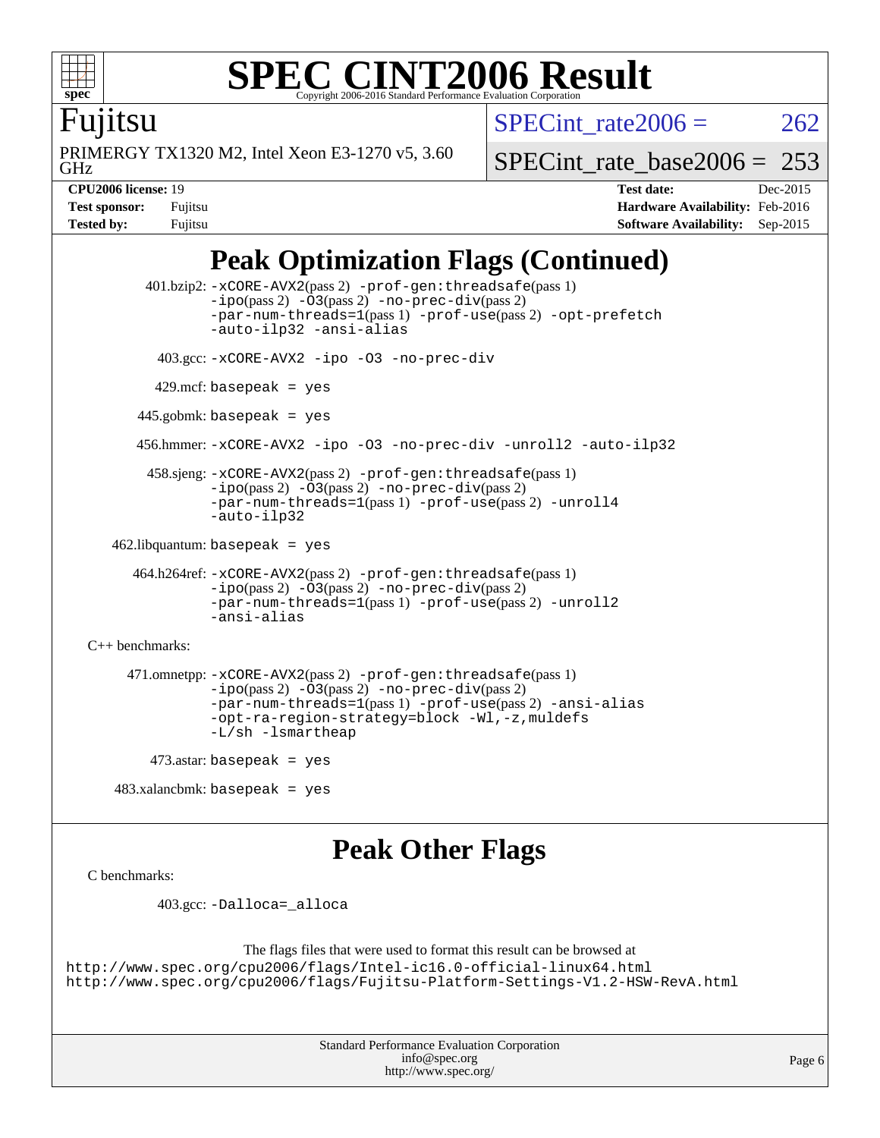

### **[SPEC CINT2006 Result](http://www.spec.org/auto/cpu2006/Docs/result-fields.html#SPECCINT2006Result)** Copyright 2006-2016 Standard Performance Evaluation C

SPECint rate $2006 = 262$ 

Fujitsu

GHz PRIMERGY TX1320 M2, Intel Xeon E3-1270 v5, 3.60 [SPECint\\_rate\\_base2006 =](http://www.spec.org/auto/cpu2006/Docs/result-fields.html#SPECintratebase2006) 253

**[CPU2006 license:](http://www.spec.org/auto/cpu2006/Docs/result-fields.html#CPU2006license)** 19 **[Test date:](http://www.spec.org/auto/cpu2006/Docs/result-fields.html#Testdate)** Dec-2015 **[Test sponsor:](http://www.spec.org/auto/cpu2006/Docs/result-fields.html#Testsponsor)** Fujitsu **[Hardware Availability:](http://www.spec.org/auto/cpu2006/Docs/result-fields.html#HardwareAvailability)** Feb-2016 **[Tested by:](http://www.spec.org/auto/cpu2006/Docs/result-fields.html#Testedby)** Fujitsu **[Software Availability:](http://www.spec.org/auto/cpu2006/Docs/result-fields.html#SoftwareAvailability)** Sep-2015

## **[Peak Optimization Flags \(Continued\)](http://www.spec.org/auto/cpu2006/Docs/result-fields.html#PeakOptimizationFlags)**

```
 401.bzip2: -xCORE-AVX2(pass 2) -prof-gen:threadsafe(pass 1)
               -no-prec-div(pass 2)-par-num-threads=1(pass 1) -prof-use(pass 2) -opt-prefetch
               -auto-ilp32 -ansi-alias
         403.gcc: -xCORE-AVX2 -ipo -O3 -no-prec-div
        429.mcf: basepeak = yes
       445.gobmk: basepeak = yes
       456.hmmer: -xCORE-AVX2 -ipo -O3 -no-prec-div -unroll2 -auto-ilp32
        458.sjeng: -xCORE-AVX2(pass 2) -prof-gen:threadsafe(pass 1)
               -ipo(pass 2) -O3(pass 2) -no-prec-div(pass 2)
               -par-num-threads=1(pass 1) -prof-use(pass 2) -unroll4
               -auto-ilp32
  462.libquantum: basepeak = yes
      464.h264ref: -xCORE-AVX2(pass 2) -prof-gen:threadsafe(pass 1)
               -no-prec-div(pass 2)-par-num-threads=1(pass 1) -prof-use(pass 2) -unroll2
               -ansi-alias
C++ benchmarks: 
     471.omnetpp: -xCORE-AVX2(pass 2) -prof-gen:threadsafe(pass 1)
               -no-prec-div(pass 2)-par-num-threads=1(pass 1) -prof-use(pass 2) -ansi-alias
               -opt-ra-region-strategy=block -Wl,-z,muldefs
               -L/sh -lsmartheap
       473.astar: basepeak = yes
```
### **[Peak Other Flags](http://www.spec.org/auto/cpu2006/Docs/result-fields.html#PeakOtherFlags)**

[C benchmarks](http://www.spec.org/auto/cpu2006/Docs/result-fields.html#Cbenchmarks):

403.gcc: [-Dalloca=\\_alloca](http://www.spec.org/cpu2006/results/res2016q1/cpu2006-20160111-38694.flags.html#b403.gcc_peakEXTRA_CFLAGS_Dalloca_be3056838c12de2578596ca5467af7f3)

483.xalancbmk: basepeak = yes

```
The flags files that were used to format this result can be browsed at
http://www.spec.org/cpu2006/flags/Intel-ic16.0-official-linux64.html
http://www.spec.org/cpu2006/flags/Fujitsu-Platform-Settings-V1.2-HSW-RevA.html
```